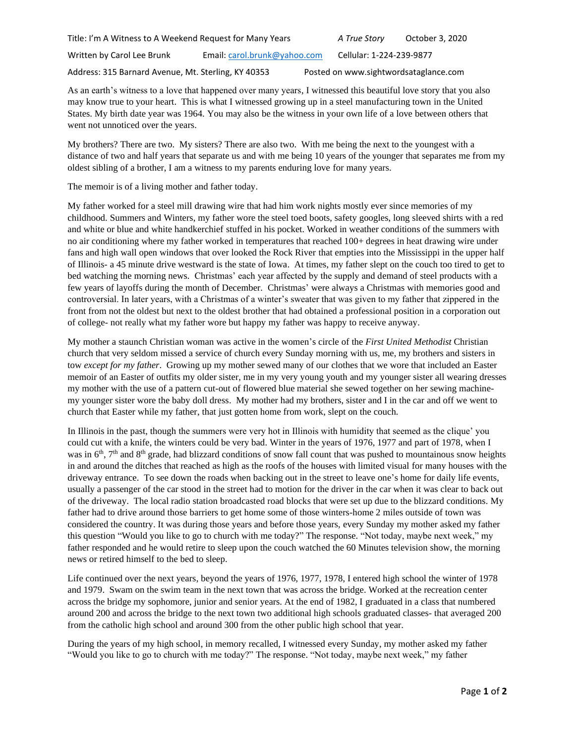Address: 315 Barnard Avenue, Mt. Sterling, KY 40353 Posted on www.sightwordsataglance.com

As an earth's witness to a love that happened over many years, I witnessed this beautiful love story that you also may know true to your heart. This is what I witnessed growing up in a steel manufacturing town in the United States. My birth date year was 1964. You may also be the witness in your own life of a love between others that went not unnoticed over the years.

My brothers? There are two. My sisters? There are also two. With me being the next to the youngest with a distance of two and half years that separate us and with me being 10 years of the younger that separates me from my oldest sibling of a brother, I am a witness to my parents enduring love for many years.

The memoir is of a living mother and father today.

My father worked for a steel mill drawing wire that had him work nights mostly ever since memories of my childhood. Summers and Winters, my father wore the steel toed boots, safety googles, long sleeved shirts with a red and white or blue and white handkerchief stuffed in his pocket. Worked in weather conditions of the summers with no air conditioning where my father worked in temperatures that reached 100+ degrees in heat drawing wire under fans and high wall open windows that over looked the Rock River that empties into the Mississippi in the upper half of Illinois- a 45 minute drive westward is the state of Iowa. At times, my father slept on the couch too tired to get to bed watching the morning news. Christmas' each year affected by the supply and demand of steel products with a few years of layoffs during the month of December. Christmas' were always a Christmas with memories good and controversial. In later years, with a Christmas of a winter's sweater that was given to my father that zippered in the front from not the oldest but next to the oldest brother that had obtained a professional position in a corporation out of college- not really what my father wore but happy my father was happy to receive anyway.

My mother a staunch Christian woman was active in the women's circle of the *First United Methodist* Christian church that very seldom missed a service of church every Sunday morning with us, me, my brothers and sisters in tow *except for my father*. Growing up my mother sewed many of our clothes that we wore that included an Easter memoir of an Easter of outfits my older sister, me in my very young youth and my younger sister all wearing dresses my mother with the use of a pattern cut-out of flowered blue material she sewed together on her sewing machinemy younger sister wore the baby doll dress. My mother had my brothers, sister and I in the car and off we went to church that Easter while my father, that just gotten home from work, slept on the couch.

In Illinois in the past, though the summers were very hot in Illinois with humidity that seemed as the clique' you could cut with a knife, the winters could be very bad. Winter in the years of 1976, 1977 and part of 1978, when I was in 6<sup>th</sup>, 7<sup>th</sup> and 8<sup>th</sup> grade, had blizzard conditions of snow fall count that was pushed to mountainous snow heights in and around the ditches that reached as high as the roofs of the houses with limited visual for many houses with the driveway entrance. To see down the roads when backing out in the street to leave one's home for daily life events, usually a passenger of the car stood in the street had to motion for the driver in the car when it was clear to back out of the driveway. The local radio station broadcasted road blocks that were set up due to the blizzard conditions. My father had to drive around those barriers to get home some of those winters-home 2 miles outside of town was considered the country. It was during those years and before those years, every Sunday my mother asked my father this question "Would you like to go to church with me today?" The response. "Not today, maybe next week," my father responded and he would retire to sleep upon the couch watched the 60 Minutes television show, the morning news or retired himself to the bed to sleep.

Life continued over the next years, beyond the years of 1976, 1977, 1978, I entered high school the winter of 1978 and 1979. Swam on the swim team in the next town that was across the bridge. Worked at the recreation center across the bridge my sophomore, junior and senior years. At the end of 1982, I graduated in a class that numbered around 200 and across the bridge to the next town two additional high schools graduated classes- that averaged 200 from the catholic high school and around 300 from the other public high school that year.

During the years of my high school, in memory recalled, I witnessed every Sunday, my mother asked my father "Would you like to go to church with me today?" The response. "Not today, maybe next week," my father